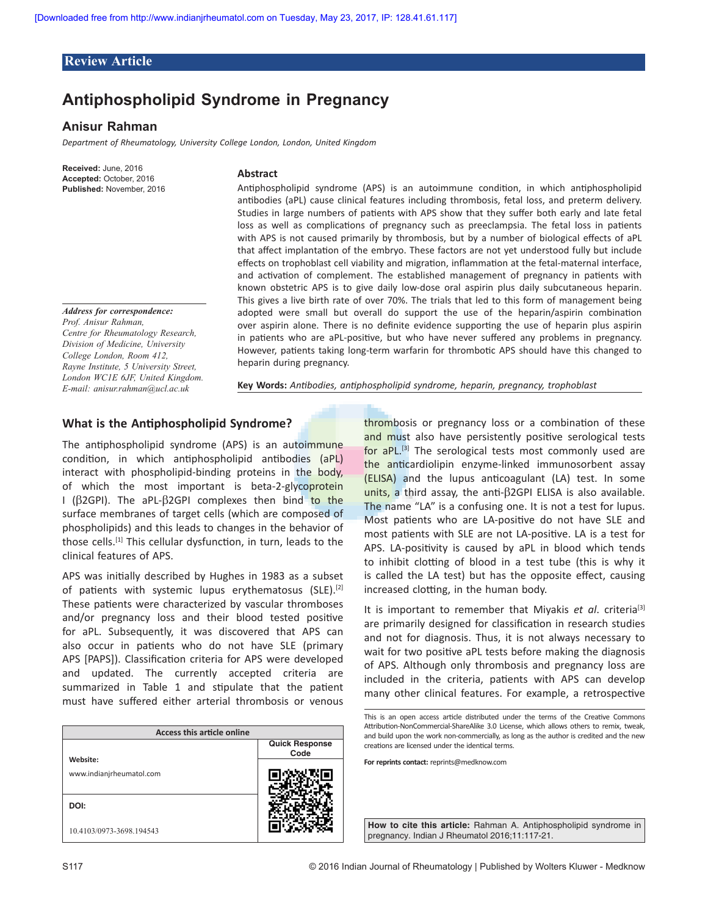### **Review Article**

# **Antiphospholipid Syndrome in Pregnancy**

### **Anisur Rahman**

*Department of Rheumatology, University College London, London, United Kingdom*

**Received:** June, 2016 **Accepted:** October, 2016 **Published:** November, 2016

#### *Address for correspondence: Prof. Anisur Rahman, Centre for Rheumatology Research, Division of Medicine, University College London, Room 412, Rayne Institute, 5 University Street, London WC1E 6JF, United Kingdom. E‑mail: anisur.rahman@ucl.ac.uk*

#### **Abstract**

Antiphospholipid syndrome (APS) is an autoimmune condition, in which antiphospholipid antibodies (aPL) cause clinical features including thrombosis, fetal loss, and preterm delivery. Studies in large numbers of patients with APS show that they suffer both early and late fetal loss as well as complications of pregnancy such as preeclampsia. The fetal loss in patients with APS is not caused primarily by thrombosis, but by a number of biological effects of aPL that affect implantation of the embryo. These factors are not yet understood fully but include effects on trophoblast cell viability and migration, inflammation at the fetal-maternal interface, and activation of complement. The established management of pregnancy in patients with known obstetric APS is to give daily low‑dose oral aspirin plus daily subcutaneous heparin. This gives a live birth rate of over 70%. The trials that led to this form of management being adopted were small but overall do support the use of the heparin/aspirin combination over aspirin alone. There is no definite evidence supporting the use of heparin plus aspirin in patients who are aPL‑positive, but who have never suffered any problems in pregnancy. However, patients taking long-term warfarin for thrombotic APS should have this changed to heparin during pregnancy.

**Key Words:** *Antibodies, antiphospholipid syndrome, heparin, pregnancy, trophoblast*

# **What is the Antiphospholipid Syndrome?**

The antiphospholipid syndrome (APS) is an autoimmune condition, in which antiphospholipid antibodies (aPL) interact with phospholipid-binding proteins in the body, of which the most important is beta-2-glycoprotein I ( $\beta$ 2GPI). The aPL- $\beta$ 2GPI complexes then bind to the surface membranes of target cells (which are composed of phospholipids) and this leads to changes in the behavior of those cells.<sup>[1]</sup> This cellular dysfunction, in turn, leads to the clinical features of APS.

APS was initially described by Hughes in 1983 as a subset of patients with systemic lupus erythematosus (SLE).<sup>[2]</sup> These patients were characterized by vascular thromboses and/or pregnancy loss and their blood tested positive for aPL. Subsequently, it was discovered that APS can also occur in patients who do not have SLE (primary APS [PAPS]). Classification criteria for APS were developed and updated. The currently accepted criteria are summarized in Table 1 and stipulate that the patient must have suffered either arterial thrombosis or venous

| <b>Access this article online</b>    |                               |  |  |  |
|--------------------------------------|-------------------------------|--|--|--|
|                                      | <b>Quick Response</b><br>Code |  |  |  |
| Website:<br>www.indianjrheumatol.com |                               |  |  |  |
| DOI:                                 |                               |  |  |  |
| 10.4103/0973-3698.194543             |                               |  |  |  |

thrombosis or pregnancy loss or a combination of these and must also have persistently positive serological tests for aPL.<sup>[3]</sup> The serological tests most commonly used are the anticardiolipin enzyme-linked immunosorbent assay (ELISA) and the lupus anticoagulant (LA) test. In some units, a third assay, the anti- $\beta$ 2GPI ELISA is also available. The name "LA" is a confusing one. It is not a test for lupus. Most patients who are LA‑positive do not have SLE and most patients with SLE are not LA‑positive. LA is a test for APS. LA‑positivity is caused by aPL in blood which tends to inhibit clotting of blood in a test tube (this is why it is called the LA test) but has the opposite effect, causing increased clotting, in the human body.

It is important to remember that Miyakis *et al*. criteria[3] are primarily designed for classification in research studies and not for diagnosis. Thus, it is not always necessary to wait for two positive aPL tests before making the diagnosis of APS. Although only thrombosis and pregnancy loss are included in the criteria, patients with APS can develop many other clinical features. For example, a retrospective

**For reprints contact:** reprints@medknow.com

**How to cite this article:** Rahman A. Antiphospholipid syndrome in pregnancy. Indian J Rheumatol 2016;11:117-21.

This is an open access article distributed under the terms of the Creative Commons Attribution-NonCommercial-ShareAlike 3.0 License, which allows others to remix, tweak, and build upon the work non-commercially, as long as the author is credited and the new creations are licensed under the identical terms.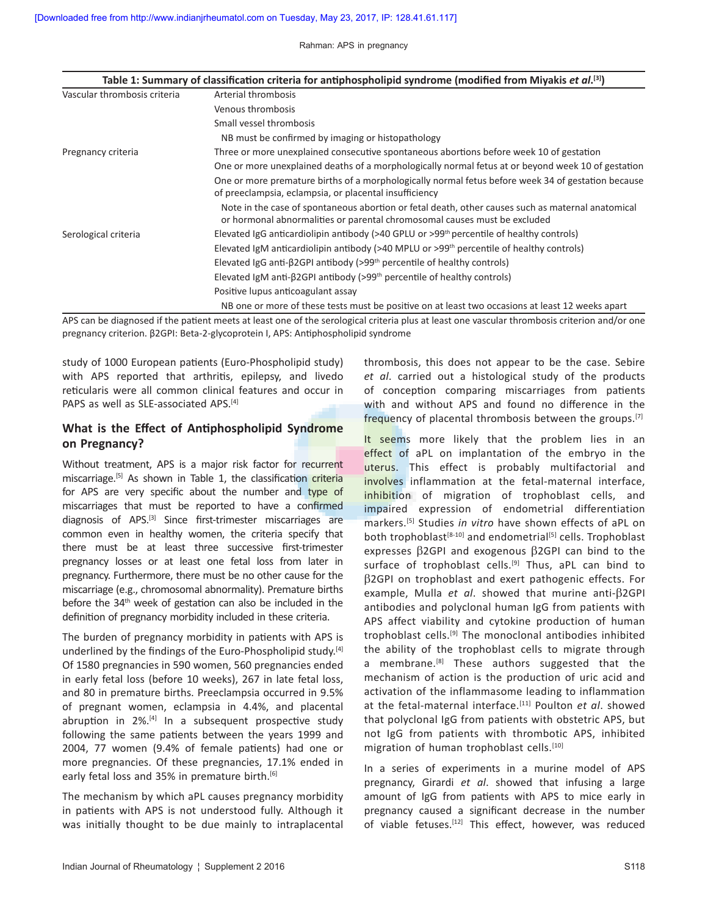Rahman: APS in pregnancy

| Table 1: Summary of classification criteria for antiphospholipid syndrome (modified from Miyakis et al. <sup>[3]</sup> ) |                                                                                                                                                                                |  |  |  |
|--------------------------------------------------------------------------------------------------------------------------|--------------------------------------------------------------------------------------------------------------------------------------------------------------------------------|--|--|--|
| Vascular thrombosis criteria                                                                                             | Arterial thrombosis                                                                                                                                                            |  |  |  |
|                                                                                                                          | Venous thrombosis                                                                                                                                                              |  |  |  |
|                                                                                                                          | Small vessel thrombosis                                                                                                                                                        |  |  |  |
|                                                                                                                          | NB must be confirmed by imaging or histopathology                                                                                                                              |  |  |  |
| Pregnancy criteria                                                                                                       | Three or more unexplained consecutive spontaneous abortions before week 10 of gestation                                                                                        |  |  |  |
|                                                                                                                          | One or more unexplained deaths of a morphologically normal fetus at or beyond week 10 of gestation                                                                             |  |  |  |
|                                                                                                                          | One or more premature births of a morphologically normal fetus before week 34 of gestation because<br>of preeclampsia, eclampsia, or placental insufficiency                   |  |  |  |
|                                                                                                                          | Note in the case of spontaneous abortion or fetal death, other causes such as maternal anatomical<br>or hormonal abnormalities or parental chromosomal causes must be excluded |  |  |  |
| Serological criteria                                                                                                     | Elevated IgG anticardiolipin antibody ( $>40$ GPLU or $>99th$ percentile of healthy controls)                                                                                  |  |  |  |
|                                                                                                                          | Elevated IgM anticardiolipin antibody ( $>40$ MPLU or $>99$ <sup>th</sup> percentile of healthy controls)                                                                      |  |  |  |
|                                                                                                                          | Elevated IgG anti- $\beta$ 2GPI antibody (>99 <sup>th</sup> percentile of healthy controls)                                                                                    |  |  |  |
|                                                                                                                          | Elevated IgM anti- $\beta$ 2GPI antibody (>99 <sup>th</sup> percentile of healthy controls)                                                                                    |  |  |  |
|                                                                                                                          | Positive lupus anticoagulant assay                                                                                                                                             |  |  |  |
|                                                                                                                          | NB one or more of these tests must be positive on at least two occasions at least 12 weeks apart                                                                               |  |  |  |

APS can be diagnosed if the patient meets at least one of the serological criteria plus at least one vascular thrombosis criterion and/or one pregnancy criterion. β2GPI: Beta‑2‑glycoprotein I, APS: Antiphospholipid syndrome

study of 1000 European patients (Euro‑Phospholipid study) with APS reported that arthritis, epilepsy, and livedo reticularis were all common clinical features and occur in PAPS as well as SLE-associated APS.<sup>[4]</sup>

# **What is the Effect of Antiphospholipid Syndrome on Pregnancy?**

Without treatment, APS is a major risk factor for recurrent miscarriage.<sup>[5]</sup> As shown in Table 1, the classification criteria for APS are very specific about the number and type of miscarriages that must be reported to have a confirmed diagnosis of APS.<sup>[3]</sup> Since first-trimester miscarriages are common even in healthy women, the criteria specify that there must be at least three successive first-trimester pregnancy losses or at least one fetal loss from later in pregnancy. Furthermore, there must be no other cause for the miscarriage (e.g., chromosomal abnormality). Premature births before the 34<sup>th</sup> week of gestation can also be included in the definition of pregnancy morbidity included in these criteria.

The burden of pregnancy morbidity in patients with APS is underlined by the findings of the Euro-Phospholipid study.<sup>[4]</sup> Of 1580 pregnancies in 590 women, 560 pregnancies ended in early fetal loss (before 10 weeks), 267 in late fetal loss, and 80 in premature births. Preeclampsia occurred in 9.5% of pregnant women, eclampsia in 4.4%, and placental abruption in  $2\%$ <sup>[4]</sup> In a subsequent prospective study following the same patients between the years 1999 and 2004, 77 women (9.4% of female patients) had one or more pregnancies. Of these pregnancies, 17.1% ended in early fetal loss and 35% in premature birth.<sup>[6]</sup>

The mechanism by which aPL causes pregnancy morbidity in patients with APS is not understood fully. Although it was initially thought to be due mainly to intraplacental thrombosis, this does not appear to be the case. Sebire *et al*. carried out a histological study of the products of conception comparing miscarriages from patients with and without APS and found no difference in the frequency of placental thrombosis between the groups.<sup>[7]</sup>

It seems more likely that the problem lies in an effect of aPL on implantation of the embryo in the uterus. This effect is probably multifactorial and involves inflammation at the fetal-maternal interface, inhibition of migration of trophoblast cells, and impaired expression of endometrial differentiation markers.[5] Studies *in vitro* have shown effects of aPL on both trophoblast<sup>[8-10]</sup> and endometrial<sup>[5]</sup> cells. Trophoblast expresses  $\beta$ 2GPI and exogenous  $\beta$ 2GPI can bind to the surface of trophoblast cells.<sup>[9]</sup> Thus, aPL can bind to  $\beta$ 2GPI on trophoblast and exert pathogenic effects. For example, Mulla *et al.* showed that murine anti- $\beta$ 2GPI antibodies and polyclonal human IgG from patients with APS affect viability and cytokine production of human trophoblast cells.[9] The monoclonal antibodies inhibited the ability of the trophoblast cells to migrate through a membrane.<sup>[8]</sup> These authors suggested that the mechanism of action is the production of uric acid and activation of the inflammasome leading to inflammation at the fetal‑maternal interface.[11] Poulton *et al*. showed that polyclonal IgG from patients with obstetric APS, but not IgG from patients with thrombotic APS, inhibited migration of human trophoblast cells.<sup>[10]</sup>

In a series of experiments in a murine model of APS pregnancy, Girardi *et al*. showed that infusing a large amount of IgG from patients with APS to mice early in pregnancy caused a significant decrease in the number of viable fetuses.<sup>[12]</sup> This effect, however, was reduced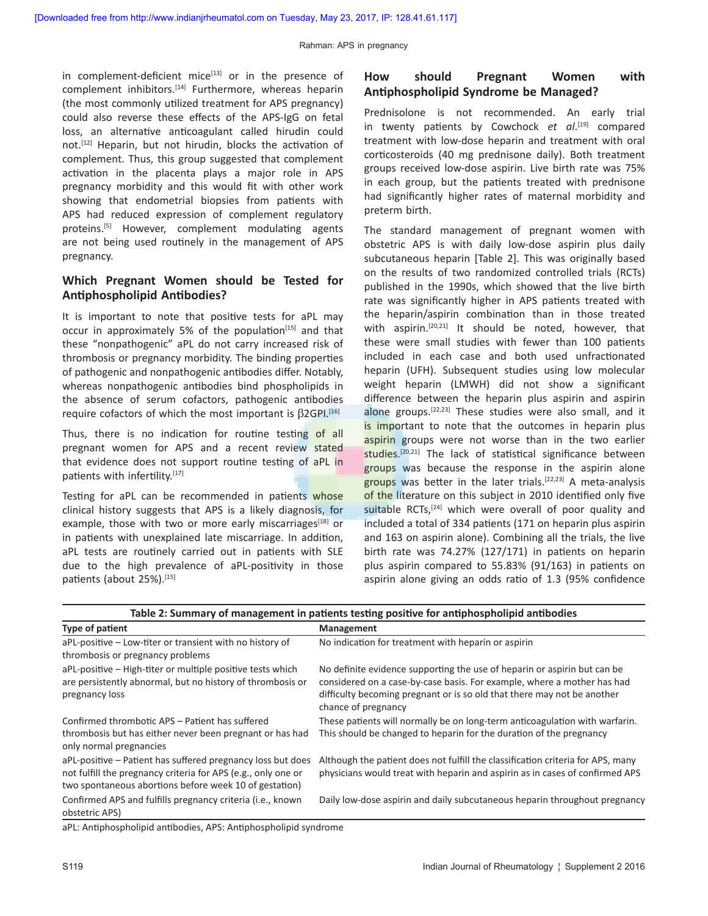in complement-deficient mice<sup>[13]</sup> or in the presence of complement inhibitors.<sup>[14]</sup> Furthermore, whereas heparin (the most commonly utilized treatment for APS pregnancy) could also reverse these effects of the APS‑IgG on fetal loss, an alternative anticoagulant called hirudin could not.<sup>[12]</sup> Heparin, but not hirudin, blocks the activation of complement. Thus, this group suggested that complement activation in the placenta plays a major role in APS pregnancy morbidity and this would fit with other work showing that endometrial biopsies from patients with APS had reduced expression of complement regulatory proteins.<sup>[5]</sup> However, complement modulating agents are not being used routinely in the management of APS pregnancy.

### **Which Pregnant Women should be Tested for Antiphospholipid Antibodies?**

It is important to note that positive tests for aPL may occur in approximately 5% of the population<sup>[15]</sup> and that these "nonpathogenic" aPL do not carry increased risk of thrombosis or pregnancy morbidity. The binding properties of pathogenic and nonpathogenic antibodies differ. Notably, whereas nonpathogenic antibodies bind phospholipids in the absence of serum cofactors, pathogenic antibodies require cofactors of which the most important is  $\beta$ 2GPI.<sup>[16]</sup>

Thus, there is no indication for routine testing of all pregnant women for APS and a recent review stated that evidence does not support routine testing of aPL in patients with infertility.[17]

Testing for aPL can be recommended in patients whose clinical history suggests that APS is a likely diagnosis, for example, those with two or more early miscarriages<sup>[18]</sup> or in patients with unexplained late miscarriage. In addition, aPL tests are routinely carried out in patients with SLE due to the high prevalence of aPL‑positivity in those patients (about 25%).[15]

# **How should Pregnant Women with Antiphospholipid Syndrome be Managed?**

Prednisolone is not recommended. An early trial in twenty patients by Cowchock *et al*. [19] compared treatment with low‑dose heparin and treatment with oral corticosteroids (40 mg prednisone daily). Both treatment groups received low‑dose aspirin. Live birth rate was 75% in each group, but the patients treated with prednisone had significantly higher rates of maternal morbidity and preterm birth.

The standard management of pregnant women with obstetric APS is with daily low‑dose aspirin plus daily subcutaneous heparin [Table 2]. This was originally based on the results of two randomized controlled trials (RCTs) published in the 1990s, which showed that the live birth rate was significantly higher in APS patients treated with the heparin/aspirin combination than in those treated with aspirin.<sup>[20,21]</sup> It should be noted, however, that these were small studies with fewer than 100 patients included in each case and both used unfractionated heparin (UFH). Subsequent studies using low molecular weight heparin (LMWH) did not show a significant difference between the heparin plus aspirin and aspirin alone groups.[22,23] These studies were also small, and it is important to note that the outcomes in heparin plus aspirin groups were not worse than in the two earlier studies.<sup>[20,21]</sup> The lack of statistical significance between groups was because the response in the aspirin alone groups was better in the later trials.<sup>[22,23]</sup> A meta-analysis of the literature on this subject in 2010 identified only five suitable RCTs,<sup>[24]</sup> which were overall of poor quality and included a total of 334 patients (171 on heparin plus aspirin and 163 on aspirin alone). Combining all the trials, the live birth rate was 74.27% (127/171) in patients on heparin plus aspirin compared to 55.83% (91/163) in patients on aspirin alone giving an odds ratio of 1.3 (95% confidence

| Type of patient                                                                                                                                                                        | Management                                                                                                                                                                                                                                            |
|----------------------------------------------------------------------------------------------------------------------------------------------------------------------------------------|-------------------------------------------------------------------------------------------------------------------------------------------------------------------------------------------------------------------------------------------------------|
| aPL-positive – Low-titer or transient with no history of<br>thrombosis or pregnancy problems                                                                                           | No indication for treatment with heparin or aspirin                                                                                                                                                                                                   |
| aPL-positive – High-titer or multiple positive tests which<br>are persistently abnormal, but no history of thrombosis or<br>pregnancy loss                                             | No definite evidence supporting the use of heparin or aspirin but can be<br>considered on a case-by-case basis. For example, where a mother has had<br>difficulty becoming pregnant or is so old that there may not be another<br>chance of pregnancy |
| Confirmed thrombotic APS – Patient has suffered<br>thrombosis but has either never been pregnant or has had<br>only normal pregnancies                                                 | These patients will normally be on long-term anticoagulation with warfarin.<br>This should be changed to heparin for the duration of the pregnancy                                                                                                    |
| aPL-positive – Patient has suffered pregnancy loss but does<br>not fulfill the pregnancy criteria for APS (e.g., only one or<br>two spontaneous abortions before week 10 of gestation) | Although the patient does not fulfill the classification criteria for APS, many<br>physicians would treat with heparin and aspirin as in cases of confirmed APS                                                                                       |
| Confirmed APS and fulfills pregnancy criteria (i.e., known<br>obstetric APS)                                                                                                           | Daily low-dose aspirin and daily subcutaneous heparin throughout pregnancy                                                                                                                                                                            |

| Table 2: Summary of management in patients testing positive for antiphospholipid antibodies |  |  |  |  |
|---------------------------------------------------------------------------------------------|--|--|--|--|
|---------------------------------------------------------------------------------------------|--|--|--|--|

aPL: Antiphospholipid antibodies, APS: Antiphospholipid syndrome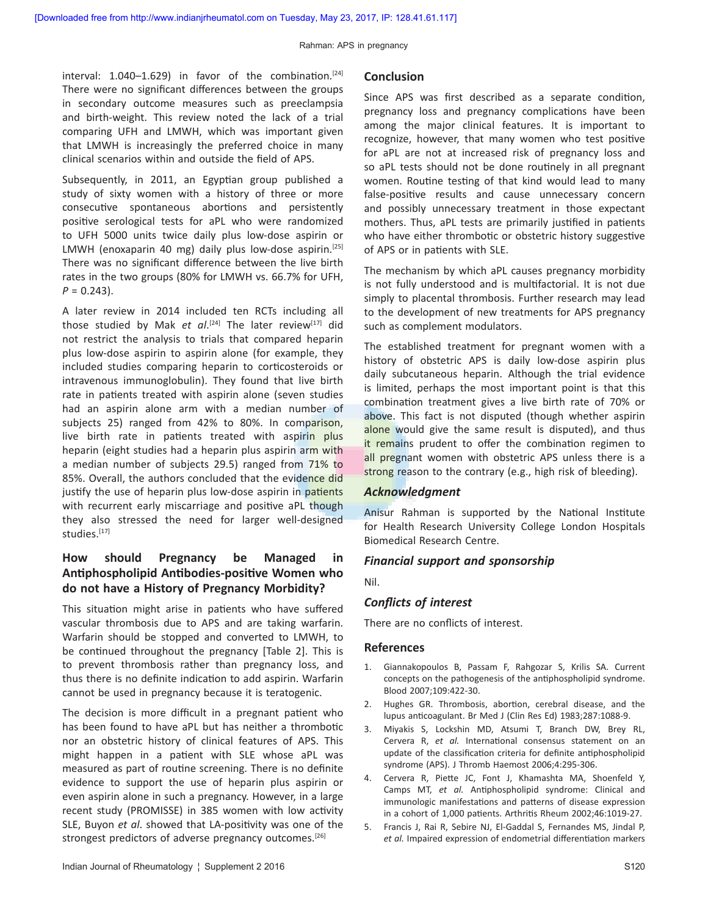interval:  $1.040-1.629$ ) in favor of the combination.<sup>[24]</sup> There were no significant differences between the groups in secondary outcome measures such as preeclampsia and birth-weight. This review noted the lack of a trial comparing UFH and LMWH, which was important given that LMWH is increasingly the preferred choice in many clinical scenarios within and outside the field of APS.

Subsequently, in 2011, an Egyptian group published a study of sixty women with a history of three or more consecutive spontaneous abortions and persistently positive serological tests for aPL who were randomized to UFH 5000 units twice daily plus low‑dose aspirin or LMWH (enoxaparin 40 mg) daily plus low-dose aspirin.<sup>[25]</sup> There was no significant difference between the live birth rates in the two groups (80% for LMWH vs. 66.7% for UFH,  $P = 0.243$ ).

A later review in 2014 included ten RCTs including all those studied by Mak et al.<sup>[24]</sup> The later review<sup>[17]</sup> did not restrict the analysis to trials that compared heparin plus low‑dose aspirin to aspirin alone (for example, they included studies comparing heparin to corticosteroids or intravenous immunoglobulin). They found that live birth rate in patients treated with aspirin alone (seven studies had an aspirin alone arm with a median number of subjects 25) ranged from 42% to 80%. In comparison, live birth rate in patients treated with aspirin plus heparin (eight studies had a heparin plus aspirin arm with a median number of subjects 29.5) ranged from 71% to 85%. Overall, the authors concluded that the evidence did justify the use of heparin plus low-dose aspirin in patients with recurrent early miscarriage and positive aPL though they also stressed the need for larger well-designed studies.[17]

### **How should Pregnancy be Managed in Antiphospholipid Antibodies‑positive Women who do not have a History of Pregnancy Morbidity?**

This situation might arise in patients who have suffered vascular thrombosis due to APS and are taking warfarin. Warfarin should be stopped and converted to LMWH, to be continued throughout the pregnancy [Table 2]. This is to prevent thrombosis rather than pregnancy loss, and thus there is no definite indication to add aspirin. Warfarin cannot be used in pregnancy because it is teratogenic.

The decision is more difficult in a pregnant patient who has been found to have aPL but has neither a thrombotic nor an obstetric history of clinical features of APS. This might happen in a patient with SLE whose aPL was measured as part of routine screening. There is no definite evidence to support the use of heparin plus aspirin or even aspirin alone in such a pregnancy. However, in a large recent study (PROMISSE) in 385 women with low activity SLE, Buyon *et al*. showed that LA‑positivity was one of the strongest predictors of adverse pregnancy outcomes.<sup>[26]</sup>

#### **Conclusion**

Since APS was first described as a separate condition, pregnancy loss and pregnancy complications have been among the major clinical features. It is important to recognize, however, that many women who test positive for aPL are not at increased risk of pregnancy loss and so aPL tests should not be done routinely in all pregnant women. Routine testing of that kind would lead to many false-positive results and cause unnecessary concern and possibly unnecessary treatment in those expectant mothers. Thus, aPL tests are primarily justified in patients who have either thrombotic or obstetric history suggestive of APS or in patients with SLE.

The mechanism by which aPL causes pregnancy morbidity is not fully understood and is multifactorial. It is not due simply to placental thrombosis. Further research may lead to the development of new treatments for APS pregnancy such as complement modulators.

The established treatment for pregnant women with a history of obstetric APS is daily low-dose aspirin plus daily subcutaneous heparin. Although the trial evidence is limited, perhaps the most important point is that this combination treatment gives a live birth rate of 70% or above. This fact is not disputed (though whether aspirin alone would give the same result is disputed), and thus it remains prudent to offer the combination regimen to all pregnant women with obstetric APS unless there is a strong reason to the contrary (e.g., high risk of bleeding).

### *Acknowledgment*

Anisur Rahman is supported by the National Institute for Health Research University College London Hospitals Biomedical Research Centre.

#### *Financial support and sponsorship*

Nil.

#### *Conflicts of interest*

There are no conflicts of interest.

### **References**

- 1. Giannakopoulos B, Passam F, Rahgozar S, Krilis SA. Current concepts on the pathogenesis of the antiphospholipid syndrome. Blood 2007;109:422‑30.
- 2. Hughes GR. Thrombosis, abortion, cerebral disease, and the lupus anticoagulant. Br Med J (Clin Res Ed) 1983;287:1088‑9.
- 3. Miyakis S, Lockshin MD, Atsumi T, Branch DW, Brey RL, Cervera R, *et al.* International consensus statement on an update of the classification criteria for definite antiphospholipid syndrome (APS). J Thromb Haemost 2006;4:295‑306.
- 4. Cervera R, Piette JC, Font J, Khamashta MA, Shoenfeld Y, Camps MT, *et al.* Antiphospholipid syndrome: Clinical and immunologic manifestations and patterns of disease expression in a cohort of 1,000 patients. Arthritis Rheum 2002;46:1019‑27.
- 5. Francis J, Rai R, Sebire NJ, El‑Gaddal S, Fernandes MS, Jindal P, *et al.* Impaired expression of endometrial differentiation markers